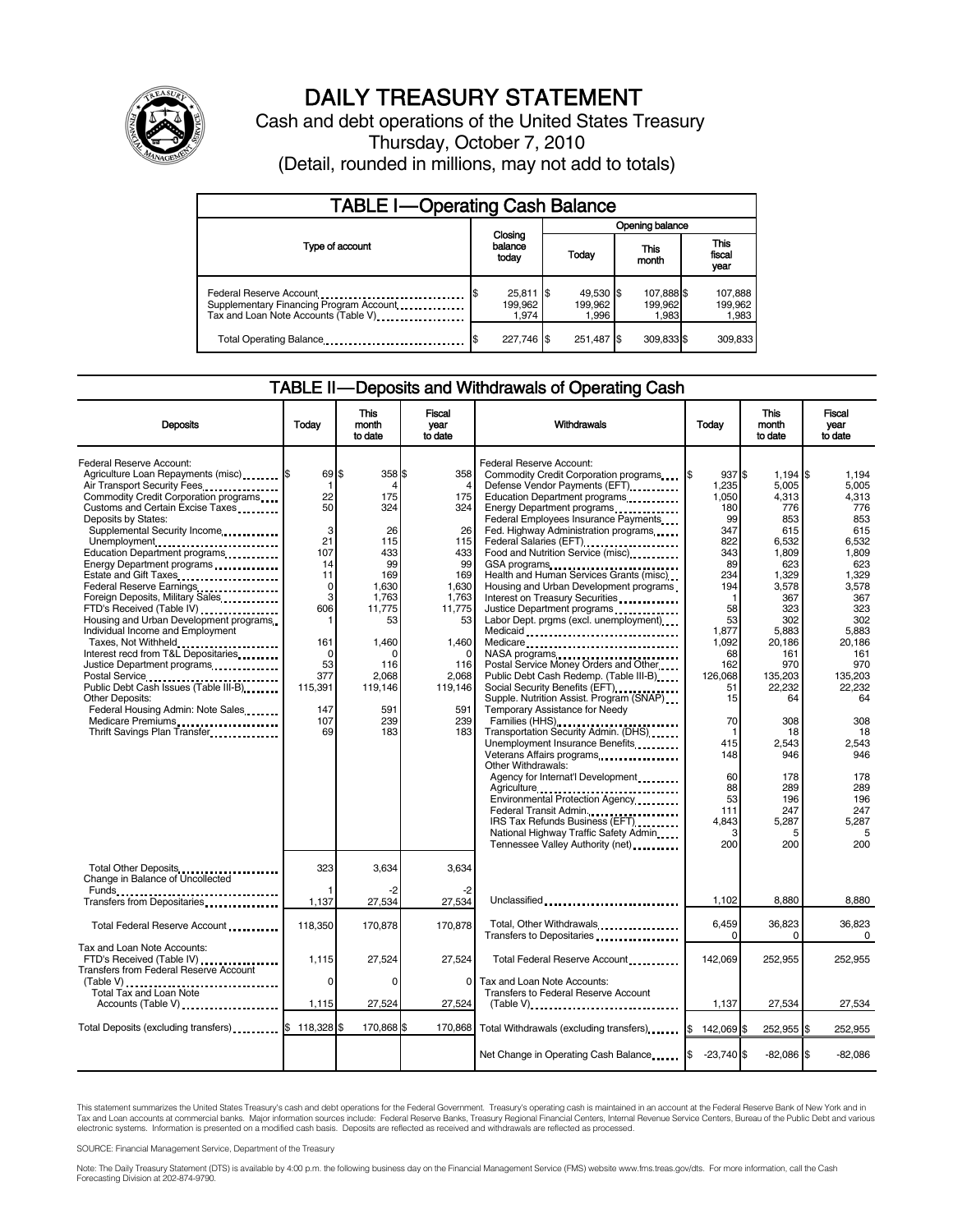

# DAILY TREASURY STATEMENT

Cash and debt operations of the United States Treasury Thursday, October 7, 2010 (Detail, rounded in millions, may not add to totals)

| <b>TABLE I-Operating Cash Balance</b>                                                                       |                                 |                               |                                |                             |  |  |
|-------------------------------------------------------------------------------------------------------------|---------------------------------|-------------------------------|--------------------------------|-----------------------------|--|--|
|                                                                                                             | Opening balance                 |                               |                                |                             |  |  |
| Type of account                                                                                             | Closing<br>balance<br>today     | Today                         | This<br>month                  | This<br>fiscal<br>year      |  |  |
| Federal Reserve Account<br>Supplementary Financing Program Account<br>Tax and Loan Note Accounts (Table V). | $25,811$ \$<br>199,962<br>1.974 | 49,530 \$<br>199.962<br>1.996 | 107,888 \$<br>199,962<br>1.983 | 107,888<br>199,962<br>1,983 |  |  |
| Total Operating Balance                                                                                     | 227,746 \$                      | 251,487                       | 309,833 \$                     | 309.833                     |  |  |

#### TABLE II-Deposits and Withdrawals of Operating Cash

| <b>Deposits</b>                                                                                                                                                                                                                                                                                                                                                                                                                                                                                                                                                                                                                                                                             | Today                                                                                                                           | <b>This</b><br>month<br>to date                                                                                                  | Fiscal<br>year<br>to date                                                                                                                        | Withdrawals                                                                                                                                                                                                                                                                                                                                                                                                                                                                                                                                                                                                                                                                                                                                     | Today                                                                                                                                                          | <b>This</b><br>month<br>to date                                                                                                                                                       | <b>Fiscal</b><br>vear<br>to date                                                                                                                                         |
|---------------------------------------------------------------------------------------------------------------------------------------------------------------------------------------------------------------------------------------------------------------------------------------------------------------------------------------------------------------------------------------------------------------------------------------------------------------------------------------------------------------------------------------------------------------------------------------------------------------------------------------------------------------------------------------------|---------------------------------------------------------------------------------------------------------------------------------|----------------------------------------------------------------------------------------------------------------------------------|--------------------------------------------------------------------------------------------------------------------------------------------------|-------------------------------------------------------------------------------------------------------------------------------------------------------------------------------------------------------------------------------------------------------------------------------------------------------------------------------------------------------------------------------------------------------------------------------------------------------------------------------------------------------------------------------------------------------------------------------------------------------------------------------------------------------------------------------------------------------------------------------------------------|----------------------------------------------------------------------------------------------------------------------------------------------------------------|---------------------------------------------------------------------------------------------------------------------------------------------------------------------------------------|--------------------------------------------------------------------------------------------------------------------------------------------------------------------------|
| Federal Reserve Account:<br>Agriculture Loan Repayments (misc) \$<br>Air Transport Security Fees<br>Commodity Credit Corporation programs<br>Customs and Certain Excise Taxes<br>Deposits by States:<br>Supplemental Security Income<br>Unemployment<br>Education Department programs<br>Energy Department programs<br>Estate and Gift Taxes<br>Federal Reserve Earnings<br>Foreign Deposits, Military Sales<br>FTD's Received (Table IV)<br>Housing and Urban Development programs<br>Individual Income and Employment<br>Taxes, Not Withheld<br>Interest recd from T&L Depositaries<br>Justice Department programs<br><br>Public Debt Cash Issues (Table III-B)<br><b>Other Deposits:</b> | 69 \$<br>1<br>22<br>50<br>3<br>21<br>107<br>14<br>11<br>$\mathbf 0$<br>3<br>606<br>1<br>161<br>$\Omega$<br>53<br>377<br>115,391 | 358 \$<br>Δ<br>175<br>324<br>26<br>115<br>433<br>99<br>169<br>1,630<br>1.763<br>11,775<br>53<br>1.460<br>116<br>2,068<br>119,146 | 358<br>$\Delta$<br>175<br>324<br>26<br>115<br>433<br>99<br>169<br>1,630<br>1.763<br>11,775<br>53<br>1.460<br>$\Omega$<br>116<br>2,068<br>119,146 | Federal Reserve Account:<br>Commodity Credit Corporation programs<br>Defense Vendor Payments (EFT)<br>Education Department programs<br>Energy Department programs<br><br>Federal Employees Insurance Payments<br>Fed. Highway Administration programs<br>Federal Salaries (EFT)<br>Food and Nutrition Service (misc)<br>GSA programs<br>Health and Human Services Grants (misc)<br>Housing and Urban Development programs<br>Interest on Treasury Securities<br>Justice Department programs<br>Labor Dept. prgms (excl. unemployment)<br>Medicaid<br>Medicare<br>NASA programs<br>Postal Service Money Orders and Other<br>Public Debt Cash Redemp. (Table III-B)<br>Social Security Benefits (EFT)<br>Supple. Nutrition Assist. Program (SNAP) | 937\$<br>1,235<br>1.050<br>180<br>99<br>347<br>822<br>343<br>89<br>234<br>194<br>$\mathbf 1$<br>58<br>53<br>1,877<br>1.092<br>68<br>162<br>126,068<br>51<br>15 | $1,194$ $\sqrt{5}$<br>5.005<br>4,313<br>776<br>853<br>615<br>6,532<br>1.809<br>623<br>1,329<br>3,578<br>367<br>323<br>302<br>5,883<br>20.186<br>161<br>970<br>135,203<br>22,232<br>64 | 1.194<br>5.005<br>4.313<br>776<br>853<br>615<br>6.532<br>1.809<br>623<br>1,329<br>3,578<br>367<br>323<br>302<br>5,883<br>20.186<br>161<br>970<br>135,203<br>22.232<br>64 |
| Federal Housing Admin: Note Sales<br>Medicare Premiums<br>Thrift Savings Plan Transfer.                                                                                                                                                                                                                                                                                                                                                                                                                                                                                                                                                                                                     | 147<br>107<br>69                                                                                                                | 591<br>239<br>183                                                                                                                | 591<br>239<br>183                                                                                                                                | Temporary Assistance for Needy<br>Families (HHS)<br>Transportation Security Admin. (DHS)<br>Unemployment Insurance Benefits<br>Veterans Affairs programs<br>Other Withdrawals:<br>Agency for Internat'l Development<br>Agriculture<br>Environmental Protection Agency<br>Federal Transit Admin.<br>IRS Tax Refunds Business (EFT)<br>National Highway Traffic Safety Admin<br>Tennessee Valley Authority (net)                                                                                                                                                                                                                                                                                                                                  | 70<br>-1<br>415<br>148<br>60<br>88<br>53<br>111<br>4.843<br>3<br>200                                                                                           | 308<br>18<br>2,543<br>946<br>178<br>289<br>196<br>247<br>5.287<br>200                                                                                                                 | 308<br>18<br>2,543<br>946<br>178<br>289<br>196<br>247<br>5.287<br>5<br>200                                                                                               |
| Total Other Deposits<br>Change in Balance of Uncollected<br>Funds __<br>                                                                                                                                                                                                                                                                                                                                                                                                                                                                                                                                                                                                                    | 323                                                                                                                             | 3,634                                                                                                                            | 3,634                                                                                                                                            |                                                                                                                                                                                                                                                                                                                                                                                                                                                                                                                                                                                                                                                                                                                                                 |                                                                                                                                                                |                                                                                                                                                                                       |                                                                                                                                                                          |
| Total Federal Reserve Account                                                                                                                                                                                                                                                                                                                                                                                                                                                                                                                                                                                                                                                               | 1,137<br>118,350                                                                                                                | 27,534<br>170,878                                                                                                                | 27,534<br>170.878                                                                                                                                | Unclassified<br>Total, Other Withdrawals                                                                                                                                                                                                                                                                                                                                                                                                                                                                                                                                                                                                                                                                                                        | 1,102<br>6,459<br>0                                                                                                                                            | 8,880<br>36,823<br>$\Omega$                                                                                                                                                           | 8,880<br>36,823<br>$\Omega$                                                                                                                                              |
| Tax and Loan Note Accounts:<br>FTD's Received (Table IV)<br>Transfers from Federal Reserve Account                                                                                                                                                                                                                                                                                                                                                                                                                                                                                                                                                                                          | 1,115<br>$\Omega$                                                                                                               | 27,524<br>$\Omega$                                                                                                               | 27,524<br>0                                                                                                                                      | Total Federal Reserve Account<br>Tax and Loan Note Accounts:                                                                                                                                                                                                                                                                                                                                                                                                                                                                                                                                                                                                                                                                                    | 142,069                                                                                                                                                        | 252,955                                                                                                                                                                               | 252,955                                                                                                                                                                  |
| Total Tax and Loan Note<br>Accounts (Table V)                                                                                                                                                                                                                                                                                                                                                                                                                                                                                                                                                                                                                                               | 1,115                                                                                                                           | 27,524                                                                                                                           | 27,524                                                                                                                                           | Transfers to Federal Reserve Account                                                                                                                                                                                                                                                                                                                                                                                                                                                                                                                                                                                                                                                                                                            | 1,137                                                                                                                                                          | 27,534                                                                                                                                                                                | 27,534                                                                                                                                                                   |
| Total Deposits (excluding transfers) \$118,328 \$                                                                                                                                                                                                                                                                                                                                                                                                                                                                                                                                                                                                                                           |                                                                                                                                 | 170,868 \$                                                                                                                       | 170,868                                                                                                                                          | Total Withdrawals (excluding transfers)                                                                                                                                                                                                                                                                                                                                                                                                                                                                                                                                                                                                                                                                                                         | 142,069 \$<br>I\$                                                                                                                                              | 252,955 \$                                                                                                                                                                            | 252,955                                                                                                                                                                  |
|                                                                                                                                                                                                                                                                                                                                                                                                                                                                                                                                                                                                                                                                                             |                                                                                                                                 |                                                                                                                                  |                                                                                                                                                  | Net Change in Operating Cash Balance                                                                                                                                                                                                                                                                                                                                                                                                                                                                                                                                                                                                                                                                                                            | $-23,740$ \$                                                                                                                                                   | $-82,086$ \$                                                                                                                                                                          | $-82,086$                                                                                                                                                                |

This statement summarizes the United States Treasury's cash and debt operations for the Federal Government. Treasury's operating cash is maintained in an account at the Federal Reserve Bank of New York and in<br>Tax and Loan

SOURCE: Financial Management Service, Department of the Treasury

Note: The Daily Treasury Statement (DTS) is available by 4:00 p.m. the following business day on the Financial Management Service (FMS) website www.fms.treas.gov/dts. For more information, call the Cash<br>Forecasting Divisio